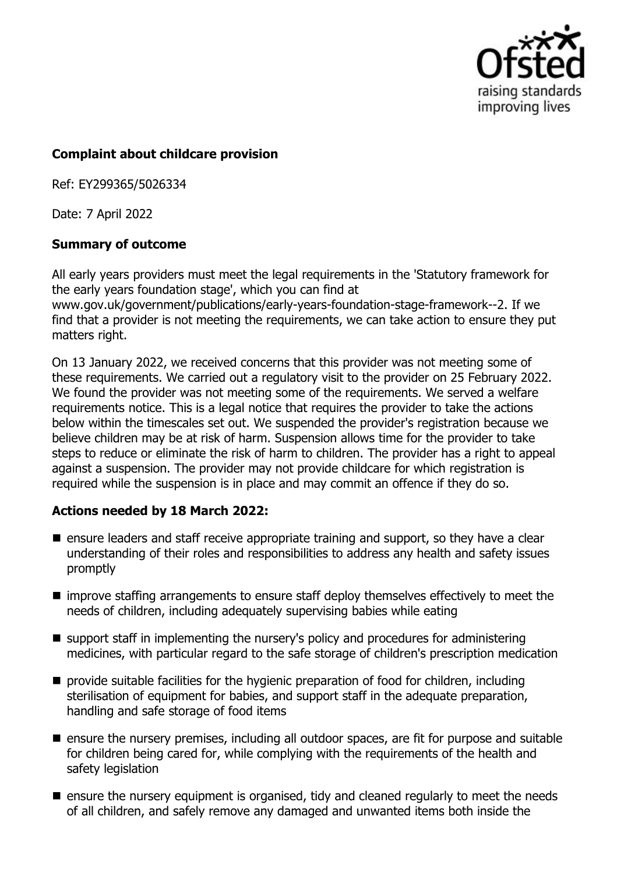

### **Complaint about childcare provision**

Ref: EY299365/5026334

Date: 7 April 2022

## **Summary of outcome**

All early years providers must meet the legal requirements in the 'Statutory framework for the early years foundation stage', which you can find at www.gov.uk/government/publications/early-years-foundation-stage-framework--2. If we find that a provider is not meeting the requirements, we can take action to ensure they put matters right.

On 13 January 2022, we received concerns that this provider was not meeting some of these requirements. We carried out a regulatory visit to the provider on 25 February 2022. We found the provider was not meeting some of the requirements. We served a welfare requirements notice. This is a legal notice that requires the provider to take the actions below within the timescales set out. We suspended the provider's registration because we believe children may be at risk of harm. Suspension allows time for the provider to take steps to reduce or eliminate the risk of harm to children. The provider has a right to appeal against a suspension. The provider may not provide childcare for which registration is required while the suspension is in place and may commit an offence if they do so.

# **Actions needed by 18 March 2022:**

- $\blacksquare$  ensure leaders and staff receive appropriate training and support, so they have a clear understanding of their roles and responsibilities to address any health and safety issues promptly
- $\blacksquare$  improve staffing arrangements to ensure staff deploy themselves effectively to meet the needs of children, including adequately supervising babies while eating
- support staff in implementing the nursery's policy and procedures for administering medicines, with particular regard to the safe storage of children's prescription medication
- provide suitable facilities for the hygienic preparation of food for children, including sterilisation of equipment for babies, and support staff in the adequate preparation, handling and safe storage of food items
- $\blacksquare$  ensure the nursery premises, including all outdoor spaces, are fit for purpose and suitable for children being cared for, while complying with the requirements of the health and safety legislation
- $\blacksquare$  ensure the nursery equipment is organised, tidy and cleaned regularly to meet the needs of all children, and safely remove any damaged and unwanted items both inside the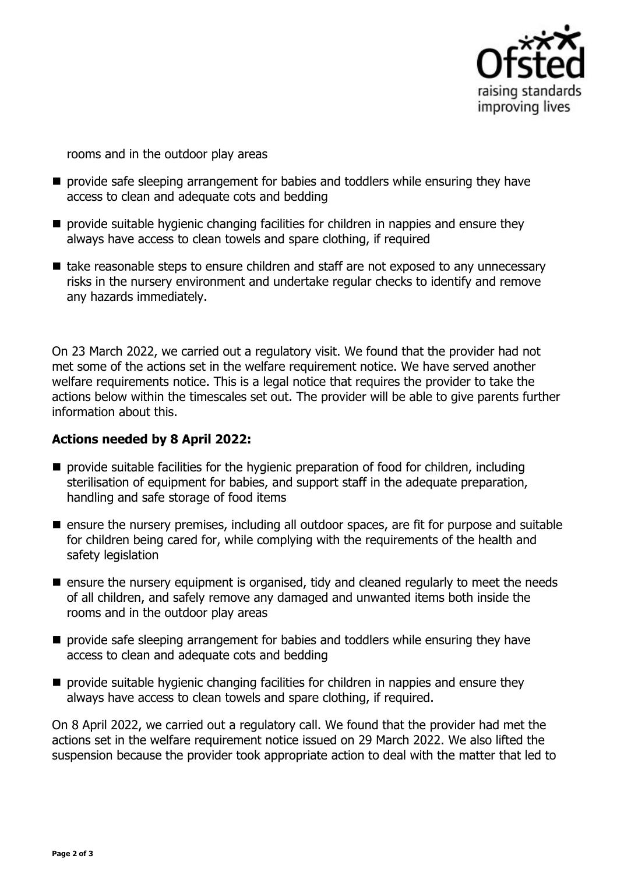

rooms and in the outdoor play areas

- $\blacksquare$  provide safe sleeping arrangement for babies and toddlers while ensuring they have access to clean and adequate cots and bedding
- $\blacksquare$  provide suitable hygienic changing facilities for children in nappies and ensure they always have access to clean towels and spare clothing, if required
- take reasonable steps to ensure children and staff are not exposed to any unnecessary risks in the nursery environment and undertake regular checks to identify and remove any hazards immediately.

On 23 March 2022, we carried out a regulatory visit. We found that the provider had not met some of the actions set in the welfare requirement notice. We have served another welfare requirements notice. This is a legal notice that requires the provider to take the actions below within the timescales set out. The provider will be able to give parents further information about this.

#### **Actions needed by 8 April 2022:**

- $\blacksquare$  provide suitable facilities for the hygienic preparation of food for children, including sterilisation of equipment for babies, and support staff in the adequate preparation, handling and safe storage of food items
- $\blacksquare$  ensure the nursery premises, including all outdoor spaces, are fit for purpose and suitable for children being cared for, while complying with the requirements of the health and safety legislation
- $\blacksquare$  ensure the nursery equipment is organised, tidy and cleaned regularly to meet the needs of all children, and safely remove any damaged and unwanted items both inside the rooms and in the outdoor play areas
- $\blacksquare$  provide safe sleeping arrangement for babies and toddlers while ensuring they have access to clean and adequate cots and bedding
- $\blacksquare$  provide suitable hygienic changing facilities for children in nappies and ensure they always have access to clean towels and spare clothing, if required.

On 8 April 2022, we carried out a regulatory call. We found that the provider had met the actions set in the welfare requirement notice issued on 29 March 2022. We also lifted the suspension because the provider took appropriate action to deal with the matter that led to